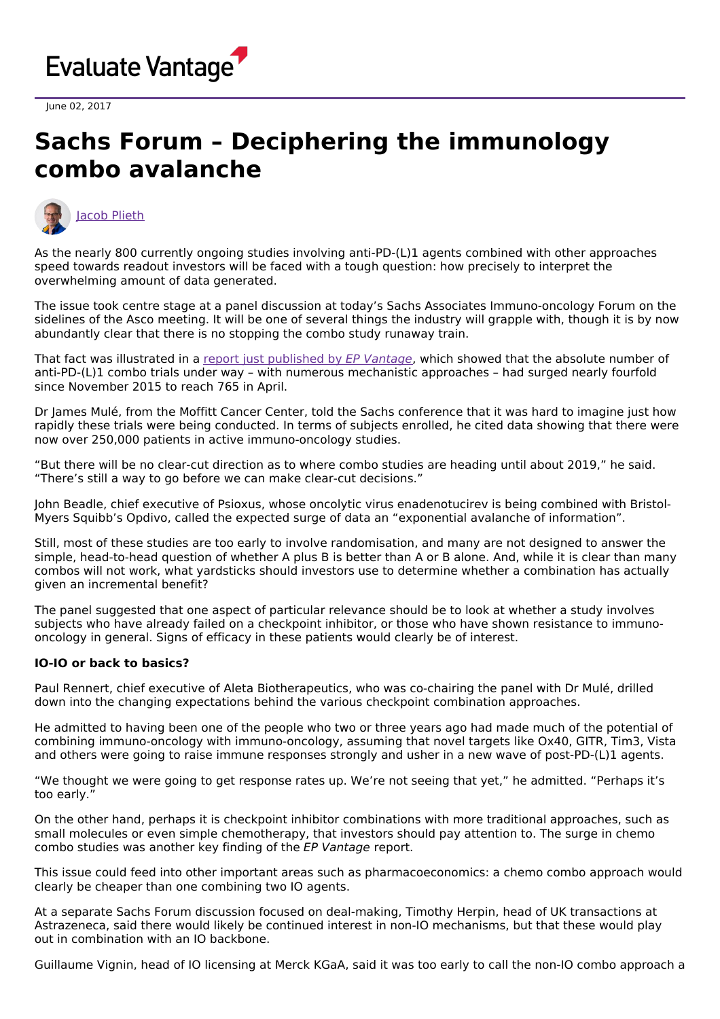

June 02, 2017

## **Sachs Forum – Deciphering the immunology combo avalanche**



As the nearly 800 currently ongoing studies involving anti-PD-(L)1 agents combined with other approaches speed towards readout investors will be faced with a tough question: how precisely to interpret the overwhelming amount of data generated.

The issue took centre stage at a panel discussion at today's Sachs Associates Immuno-oncology Forum on the sidelines of the Asco meeting. It will be one of several things the industry will grapple with, though it is by now abundantly clear that there is no stopping the combo study runaway train.

That fact was illustrated in a report just [published](http://www.evaluategroup.com/public/Reports/EPVantage-PD1-PDL1-Combination-Therapies-2017.aspx) by EP Vantage, which showed that the absolute number of anti-PD-(L)1 combo trials under way – with numerous mechanistic approaches – had surged nearly fourfold since November 2015 to reach 765 in April.

Dr James Mulé, from the Moffitt Cancer Center, told the Sachs conference that it was hard to imagine just how rapidly these trials were being conducted. In terms of subjects enrolled, he cited data showing that there were now over 250,000 patients in active immuno-oncology studies.

"But there will be no clear-cut direction as to where combo studies are heading until about 2019," he said. "There's still a way to go before we can make clear-cut decisions."

John Beadle, chief executive of Psioxus, whose oncolytic virus enadenotucirev is being combined with Bristol-Myers Squibb's Opdivo, called the expected surge of data an "exponential avalanche of information".

Still, most of these studies are too early to involve randomisation, and many are not designed to answer the simple, head-to-head question of whether A plus B is better than A or B alone. And, while it is clear than many combos will not work, what yardsticks should investors use to determine whether a combination has actually given an incremental benefit?

The panel suggested that one aspect of particular relevance should be to look at whether a study involves subjects who have already failed on a checkpoint inhibitor, or those who have shown resistance to immunooncology in general. Signs of efficacy in these patients would clearly be of interest.

## **IO-IO or back to basics?**

Paul Rennert, chief executive of Aleta Biotherapeutics, who was co-chairing the panel with Dr Mulé, drilled down into the changing expectations behind the various checkpoint combination approaches.

He admitted to having been one of the people who two or three years ago had made much of the potential of combining immuno-oncology with immuno-oncology, assuming that novel targets like Ox40, GITR, Tim3, Vista and others were going to raise immune responses strongly and usher in a new wave of post-PD-(L)1 agents.

"We thought we were going to get response rates up. We're not seeing that yet," he admitted. "Perhaps it's too early."

On the other hand, perhaps it is checkpoint inhibitor combinations with more traditional approaches, such as small molecules or even simple chemotherapy, that investors should pay attention to. The surge in chemo combo studies was another key finding of the EP Vantage report.

This issue could feed into other important areas such as pharmacoeconomics: a chemo combo approach would clearly be cheaper than one combining two IO agents.

At a separate Sachs Forum discussion focused on deal-making, Timothy Herpin, head of UK transactions at Astrazeneca, said there would likely be continued interest in non-IO mechanisms, but that these would play out in combination with an IO backbone.

Guillaume Vignin, head of IO licensing at Merck KGaA, said it was too early to call the non-IO combo approach a